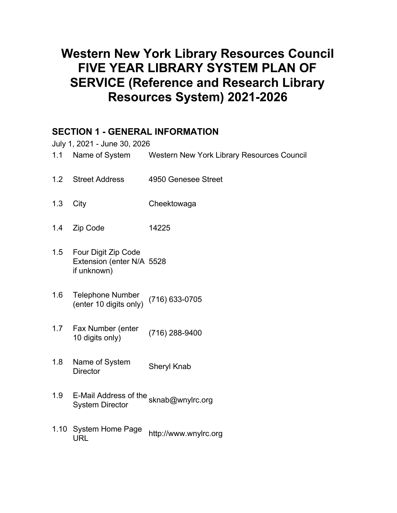# **Western New York Library Resources Council FIVE YEAR LIBRARY SYSTEM PLAN OF SERVICE (Reference and Research Library Resources System) 2021-2026**

## **SECTION 1 - GENERAL INFORMATION**

July 1, 2021 - June 30, 2026

- 1.1 Name of System Western New York Library Resources Council
- 1.2 Street Address 4950 Genesee Street
- 1.3 City Cheektowaga
- 1.4 Zip Code 14225
- 1.5 Four Digit Zip Code Extension (enter N/A 5528 if unknown)
- 1.6 Telephone Number (enter 10 digits only) (716) 633-0705
- 1.7 Fax Number (enter 1 ax Number (enter (716) 288-9400
- 1.8 Name of System Name of System Sheryl Knab
- 1.9 E-Mail Address of the sknab@wnylrc.org<br>System Director
- 1.10 System Home Page System Home Page http://www.wnylrc.org<br>URL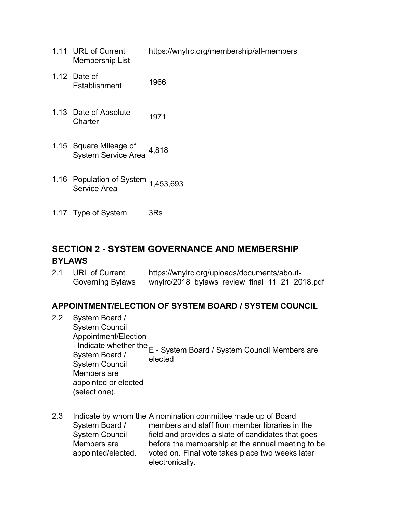- 1.11 URL of Current Membership List https://wnylrc.org/membership/all-members
- 1.12 Date of Establishment 1966
- 1.13 Date of Absolute Date of Absolute 1971
- 1.15 Square Mileage of System Service Area 4,818
- 1.16 Population of System Service Area 1,453,693
- 1.17 Type of System 3Rs

## **SECTION 2 - SYSTEM GOVERNANCE AND MEMBERSHIP BYLAWS**

| 2.1 | URL of Current          | https://wnylrc.org/uploads/documents/about-    |
|-----|-------------------------|------------------------------------------------|
|     | <b>Governing Bylaws</b> | wnylrc/2018_bylaws_review_final_11_21_2018.pdf |

## **APPOINTMENT/ELECTION OF SYSTEM BOARD / SYSTEM COUNCIL**

- 2.2 System Board / System Council Appointment/Election - Indicate whether the E - System Board / System Council Members are System Board / System Council Members are appointed or elected (select one). elected
- 2.3 Indicate by whom the A nomination committee made up of Board System Board / System Council Members are appointed/elected. members and staff from member libraries in the field and provides a slate of candidates that goes before the membership at the annual meeting to be voted on. Final vote takes place two weeks later electronically.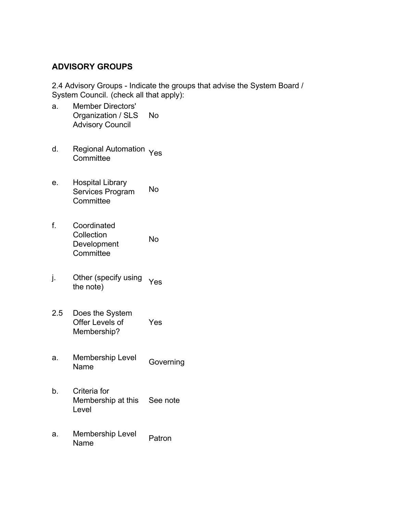#### **ADVISORY GROUPS**

2.4 Advisory Groups - Indicate the groups that advise the System Board / System Council. (check all that apply):

- a. Member Directors' Organization / SLS Advisory Council No
- d. Regional Automation Yes<br>Committee
- e. Hospital Library Services Program **Committee** No
- f. Coordinated **Collection** Development **Committee** No
- j. Other (specify using Utilet (specify using Yes<br>the note)
- 2.5 Does the System Offer Levels of Membership? Yes
- a. Membership Level Membership Lever Governing<br>Name
- b. Criteria for Membership at this Level See note
- a. Membership Level Patron<br>Name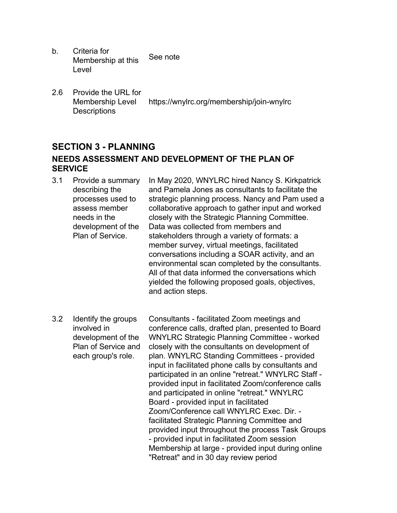- b. Criteria for Membership at this Level See note
- 2.6 Provide the URL for Membership Level **Descriptions** https://wnylrc.org/membership/join-wnylrc

## **SECTION 3 - PLANNING NEEDS ASSESSMENT AND DEVELOPMENT OF THE PLAN OF SERVICE**

- 3.1 Provide a summary describing the processes used to assess member needs in the development of the Plan of Service. In May 2020, WNYLRC hired Nancy S. Kirkpatrick and Pamela Jones as consultants to facilitate the strategic planning process. Nancy and Pam used a collaborative approach to gather input and worked closely with the Strategic Planning Committee. Data was collected from members and stakeholders through a variety of formats: a member survey, virtual meetings, facilitated conversations including a SOAR activity, and an environmental scan completed by the consultants. All of that data informed the conversations which yielded the following proposed goals, objectives, and action steps.
- 3.2 Identify the groups involved in development of the Plan of Service and each group's role. Consultants - facilitated Zoom meetings and conference calls, drafted plan, presented to Board WNYLRC Strategic Planning Committee - worked closely with the consultants on development of plan. WNYLRC Standing Committees - provided input in facilitated phone calls by consultants and participated in an online "retreat." WNYLRC Staff provided input in facilitated Zoom/conference calls and participated in online "retreat." WNYLRC Board - provided input in facilitated Zoom/Conference call WNYLRC Exec. Dir. facilitated Strategic Planning Committee and provided input throughout the process Task Groups - provided input in facilitated Zoom session Membership at large - provided input during online "Retreat" and in 30 day review period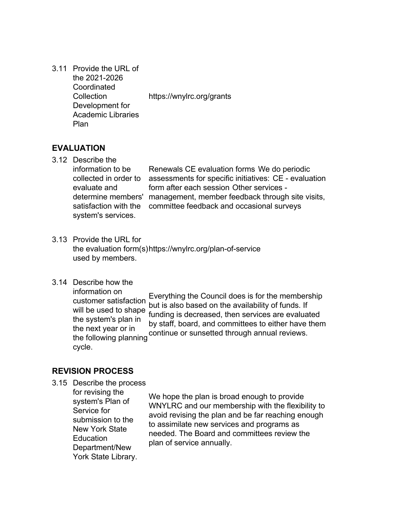3.11 Provide the URL of the 2021-2026 **Coordinated Collection** Development for Academic Libraries Plan https://wnylrc.org/grants

#### **EVALUATION**

3.12 Describe the information to be collected in order to evaluate and determine members' satisfaction with the system's services.

Renewals CE evaluation forms We do periodic assessments for specific initiatives: CE - evaluation form after each session Other services management, member feedback through site visits, committee feedback and occasional surveys

- 3.13 Provide the URL for the evaluation form(s) https://wnylrc.org/plan-of-service used by members.
- 3.14 Describe how the

information on customer satisfaction will be used to shape the system's plan in the next year or in the following planning cycle. Everything the Council does is for the membership but is also based on the availability of funds. If funding is decreased, then services are evaluated by staff, board, and committees to either have them continue or sunsetted through annual reviews.

#### **REVISION PROCESS**

3.15 Describe the process

for revising the system's Plan of Service for submission to the New York State **Education** Department/New York State Library.

We hope the plan is broad enough to provide WNYLRC and our membership with the flexibility to avoid revising the plan and be far reaching enough to assimilate new services and programs as needed. The Board and committees review the plan of service annually.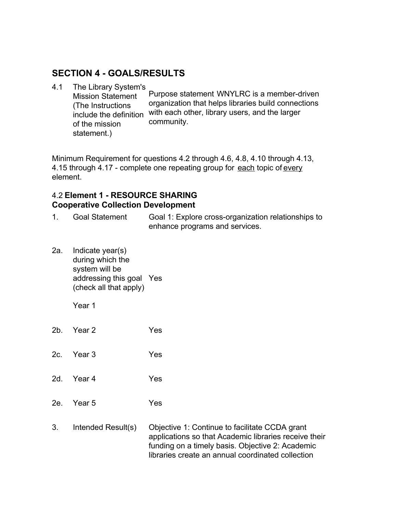## **SECTION 4 - GOALS/RESULTS**

4.1 The Library System's

Mission Statement (The Instructions include the definition of the mission statement.) Purpose statement WNYLRC is a member-driven organization that helps libraries build connections with each other, library users, and the larger community.

Minimum Requirement for questions 4.2 through 4.6, 4.8, 4.10 through 4.13, 4.15 through 4.17 - complete one repeating group for each topic of every element.

#### 4.2 **Element 1 - RESOURCE SHARING Cooperative Collection Development**

1. Goal Statement Goal 1: Explore cross-organization relationships to enhance programs and services.

2a. Indicate year(s) during which the system will be addressing this goal Yes (check all that apply)

- 2b. Year 2 Yes
- 2c. Year 3 Yes
- 2d. Year 4 Yes
- 2e. Year 5 Yes
- 3. Intended Result(s) Objective 1: Continue to facilitate CCDA grant applications so that Academic libraries receive their funding on a timely basis. Objective 2: Academic libraries create an annual coordinated collection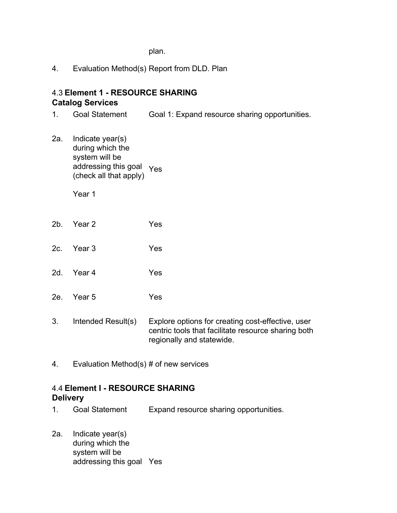plan.

4. Evaluation Method(s) Report from DLD. Plan

#### 4.3 **Element 1 - RESOURCE SHARING Catalog Services**

1. Goal Statement Goal 1: Expand resource sharing opportunities.

2a. Indicate year(s) during which the system will be addressing this goal Yes (check all that apply)

Year 1

- 2b. Year 2 Yes
- 2c. Year 3 Yes
- 2d. Year 4 Yes
- 2e. Year 5 Yes
- 3. Intended Result(s) Explore options for creating cost-effective, user centric tools that facilitate resource sharing both regionally and statewide.
- 4. Evaluation Method(s) # of new services

## 4.4 **Element I - RESOURCE SHARING Delivery**

- 1. Goal Statement Expand resource sharing opportunities.
- 2a. Indicate year(s) during which the system will be addressing this goal Yes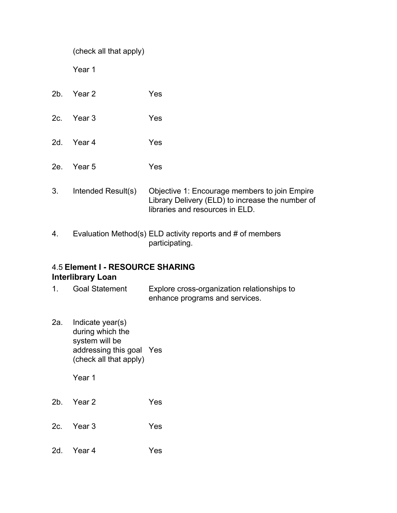|     | (check all that apply) |                                                                                                                                      |
|-----|------------------------|--------------------------------------------------------------------------------------------------------------------------------------|
|     | Year 1                 |                                                                                                                                      |
| 2b. | Year 2                 | Yes                                                                                                                                  |
| 2c. | Year 3                 | Yes                                                                                                                                  |
| 2d. | Year 4                 | Yes                                                                                                                                  |
| 2e. | Year 5                 | Yes                                                                                                                                  |
| 3.  | Intended Result(s)     | Objective 1: Encourage members to join Empire<br>Library Delivery (ELD) to increase the number of<br>libraries and resources in ELD. |

4. Evaluation Method(s) ELD activity reports and # of members participating.

## 4.5 **Element I - RESOURCE SHARING Interlibrary Loan**

- 1. Goal Statement Explore cross-organization relationships to enhance programs and services.
- 2a. Indicate year(s) during which the system will be addressing this goal Yes (check all that apply)

- 2b. Year 2 Yes
- 2c. Year 3 Yes
- 2d. Year 4 Yes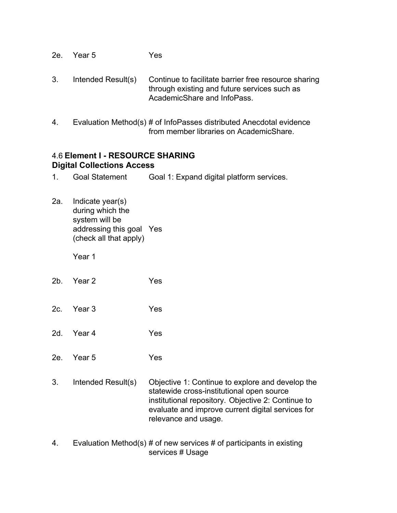- 2e. Year 5 Yes
- 3. Intended Result(s) Continue to facilitate barrier free resource sharing through existing and future services such as AcademicShare and InfoPass.
- 4. Evaluation Method(s) # of InfoPasses distributed Anecdotal evidence from member libraries on AcademicShare.

#### 4.6 **Element I - RESOURCE SHARING Digital Collections Access**

- 1. Goal Statement Goal 1: Expand digital platform services.
- 2a. Indicate year(s) during which the system will be addressing this goal Yes (check all that apply)

- 2b. Year 2 Yes
- 2c. Year 3 Yes
- 2d. Year 4 Yes
- 2e. Year 5 Yes
- 3. Intended Result(s) Objective 1: Continue to explore and develop the statewide cross-institutional open source institutional repository. Objective 2: Continue to evaluate and improve current digital services for relevance and usage.
- 4. Evaluation Method(s) # of new services # of participants in existing services # Usage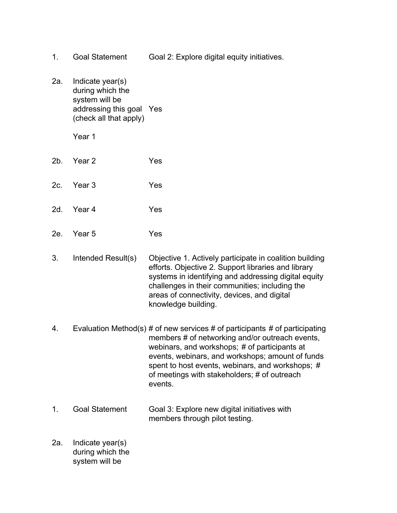- 1. Goal Statement Goal 2: Explore digital equity initiatives.
- 2a. Indicate year(s) during which the system will be addressing this goal Yes (check all that apply)
	- Year 1
- 2b. Year 2 Yes
- 2c. Year 3 Yes
- 2d. Year 4 Yes
- 2e. Year 5 Yes
- 3. Intended Result(s) Objective 1. Actively participate in coalition building efforts. Objective 2. Support libraries and library systems in identifying and addressing digital equity challenges in their communities; including the areas of connectivity, devices, and digital knowledge building.
- 4. Evaluation Method(s) # of new services # of participants # of participating members # of networking and/or outreach events, webinars, and workshops; # of participants at events, webinars, and workshops; amount of funds spent to host events, webinars, and workshops; # of meetings with stakeholders; # of outreach events.
- 1. Goal Statement Goal 3: Explore new digital initiatives with members through pilot testing.
- 2a. Indicate year(s) during which the system will be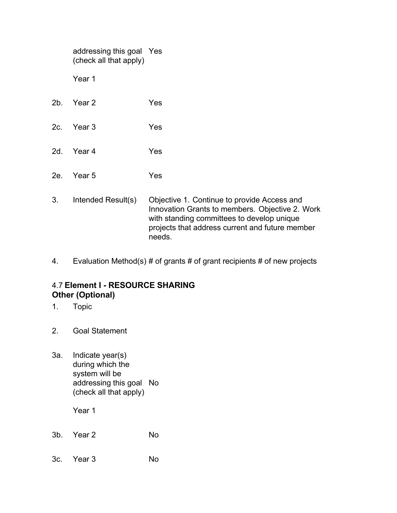|     | addressing this goal Yes<br>(check all that apply) |                                                                                                                                                                                                           |
|-----|----------------------------------------------------|-----------------------------------------------------------------------------------------------------------------------------------------------------------------------------------------------------------|
|     | Year 1                                             |                                                                                                                                                                                                           |
| 2b. | Year 2                                             | Yes                                                                                                                                                                                                       |
| 2c. | Year 3                                             | Yes                                                                                                                                                                                                       |
| 2d. | Year 4                                             | Yes                                                                                                                                                                                                       |
| 2e. | Year 5                                             | Yes                                                                                                                                                                                                       |
| 3.  | Intended Result(s)                                 | Objective 1. Continue to provide Access and<br>Innovation Grants to members. Objective 2. Work<br>with standing committees to develop unique<br>projects that address current and future member<br>needs. |

4. Evaluation Method(s) # of grants # of grant recipients # of new projects

## 4.7 **Element I - RESOURCE SHARING Other (Optional)**

- 1. Topic
- 2. Goal Statement
- 3a. Indicate year(s) during which the system will be addressing this goal No (check all that apply)

- 3b. Year 2 No
- 3c. Year 3 No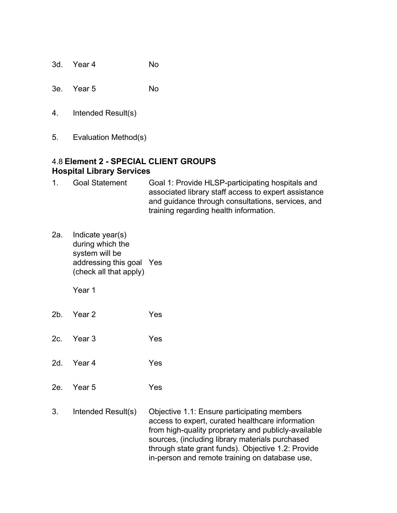- 3d. Year 4 No
- 3e. Year 5 No
- 4. Intended Result(s)
- 5. Evaluation Method(s)

## 4.8 **Element 2 - SPECIAL CLIENT GROUPS Hospital Library Services**

- 1. Goal Statement Goal 1: Provide HLSP-participating hospitals and associated library staff access to expert assistance and guidance through consultations, services, and training regarding health information.
- 2a. Indicate year(s) during which the system will be addressing this goal Yes (check all that apply)

- 2b. Year 2 Yes
- 2c. Year 3 Yes
- 2d. Year 4 Yes
- 2e. Year 5 Yes
- 3. Intended Result(s) Objective 1.1: Ensure participating members access to expert, curated healthcare information from high-quality proprietary and publicly-available sources, (including library materials purchased through state grant funds). Objective 1.2: Provide in-person and remote training on database use,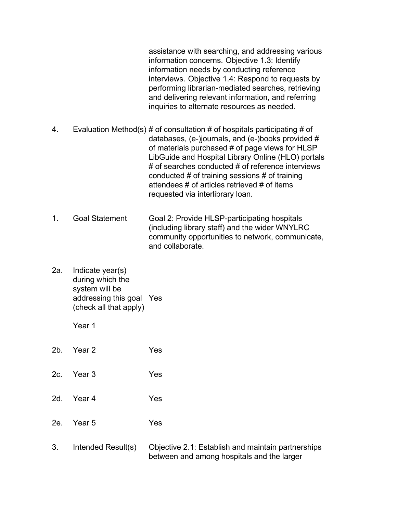assistance with searching, and addressing various information concerns. Objective 1.3: Identify information needs by conducting reference interviews. Objective 1.4: Respond to requests by performing librarian-mediated searches, retrieving and delivering relevant information, and referring inquiries to alternate resources as needed.

- 4. Evaluation Method(s) # of consultation # of hospitals participating # of databases, (e-)journals, and (e-)books provided # of materials purchased # of page views for HLSP LibGuide and Hospital Library Online (HLO) portals # of searches conducted # of reference interviews conducted # of training sessions # of training attendees # of articles retrieved # of items requested via interlibrary loan.
- 1. Goal Statement Goal 2: Provide HLSP-participating hospitals (including library staff) and the wider WNYLRC community opportunities to network, communicate, and collaborate.
- 2a. Indicate year(s) during which the system will be addressing this goal Yes (check all that apply)

- 2b. Year 2 Yes
- 2c. Year 3 Yes
- 2d. Year 4 Yes
- 2e. Year 5 Yes
- 3. Intended Result(s) Objective 2.1: Establish and maintain partnerships between and among hospitals and the larger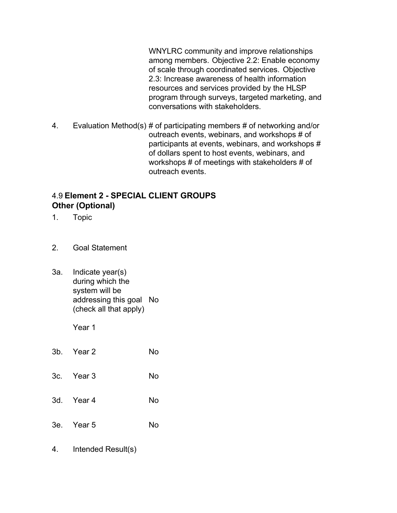WNYLRC community and improve relationships among members. Objective 2.2: Enable economy of scale through coordinated services. Objective 2.3: Increase awareness of health information resources and services provided by the HLSP program through surveys, targeted marketing, and conversations with stakeholders.

4. Evaluation Method(s) # of participating members # of networking and/or outreach events, webinars, and workshops # of participants at events, webinars, and workshops # of dollars spent to host events, webinars, and workshops # of meetings with stakeholders # of outreach events.

## 4.9 **Element 2 - SPECIAL CLIENT GROUPS Other (Optional)**

- 1. Topic
- 2. Goal Statement
- 3a. Indicate year(s) during which the system will be addressing this goal No (check all that apply)

Year 1

| 3b. Year 2 | No |
|------------|----|
| 3c. Year 3 | No |
| 3d. Year 4 | No |
| 3e. Year 5 | No |

4. Intended Result(s)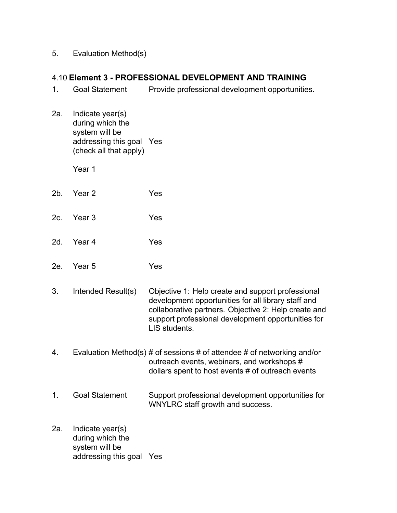5. Evaluation Method(s)

#### 4.10 **Element 3 - PROFESSIONAL DEVELOPMENT AND TRAINING**

- 1. Goal Statement Provide professional development opportunities.
- 2a. Indicate year(s) during which the system will be addressing this goal Yes (check all that apply)

- 2b. Year 2 Yes
- 2c. Year 3 Yes
- 2d. Year 4 Yes
- 2e. Year 5 Yes
- 3. Intended Result(s) Objective 1: Help create and support professional development opportunities for all library staff and collaborative partners. Objective 2: Help create and support professional development opportunities for LIS students.
- 4. Evaluation Method(s) # of sessions # of attendee # of networking and/or outreach events, webinars, and workshops # dollars spent to host events # of outreach events
- 1. Goal Statement Support professional development opportunities for WNYLRC staff growth and success.
- 2a. Indicate year(s) during which the system will be addressing this goal Yes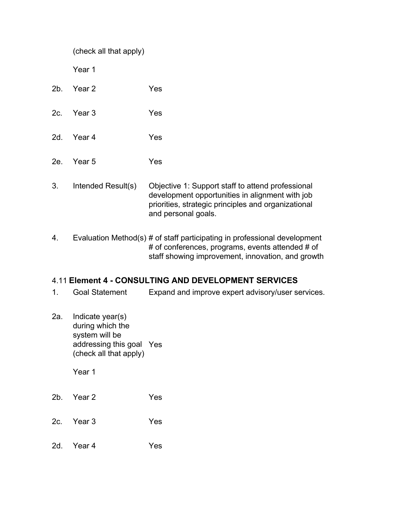|        | (check all that apply) |                                                                                                                                                                                    |
|--------|------------------------|------------------------------------------------------------------------------------------------------------------------------------------------------------------------------------|
|        | Year 1                 |                                                                                                                                                                                    |
| $2b$ . | Year 2                 | Yes                                                                                                                                                                                |
| 2c.    | Year <sub>3</sub>      | Yes                                                                                                                                                                                |
| 2d.    | Year 4                 | Yes                                                                                                                                                                                |
| 2e.    | Year <sub>5</sub>      | Yes                                                                                                                                                                                |
| 3.     | Intended Result(s)     | Objective 1: Support staff to attend professional<br>development opportunities in alignment with job<br>priorities, strategic principles and organizational<br>and personal goals. |
| 4.     |                        | Evaluation Method(s) # of staff participating in professional development<br># of conferences, programs, events attended # of<br>staff showing improvement, innovation, and growth |
| 1.     | <b>Goal Statement</b>  | 4.11 Element 4 - CONSULTING AND DEVELOPMENT SERVICES<br>Expand and improve expert advisory/user services.                                                                          |

2a. Indicate year(s) during which the system will be addressing this goal (check all that apply) Yes

- 2b. Year 2 Yes
- 2c. Year 3 Yes
- 2d. Year 4 Yes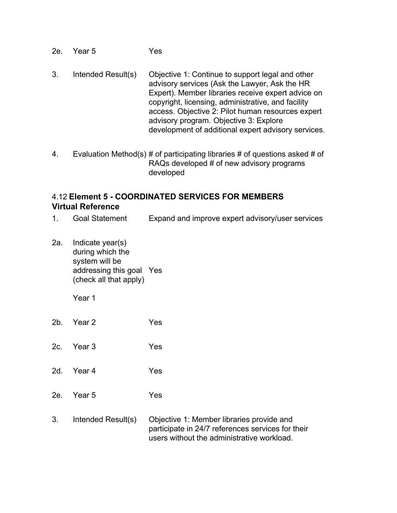- 2e. Year 5 Yes
- 3. Intended Result(s) Objective 1: Continue to support legal and other advisory services (Ask the Lawyer, Ask the HR Expert). Member libraries receive expert advice on copyright, licensing, administrative, and facility access. Objective 2: Pilot human resources expert advisory program. Objective 3: Explore development of additional expert advisory services.
- 4. Evaluation Method(s) # of participating libraries # of questions asked # of RAQs developed # of new advisory programs developed

#### 4.12 **Element 5 - COORDINATED SERVICES FOR MEMBERS Virtual Reference**

- 1. Goal Statement Expand and improve expert advisory/user services
- 2a. Indicate year(s) during which the system will be addressing this goal Yes (check all that apply)
	- Year 1
- 2b. Year 2 Yes
- 2c. Year 3 Yes
- 2d. Year 4 Yes
- 2e. Year 5 Yes
- 3. Intended Result(s) Objective 1: Member libraries provide and participate in 24/7 references services for their users without the administrative workload.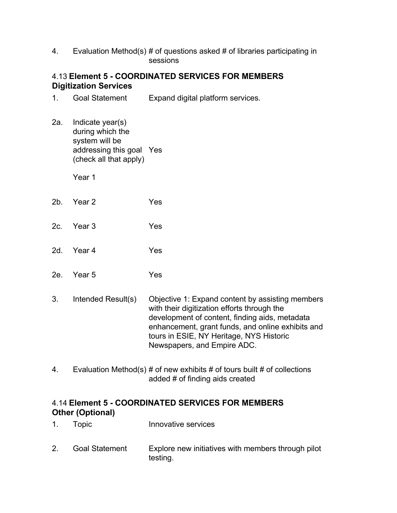4. Evaluation Method(s) # of questions asked # of libraries participating in sessions

## 4.13 **Element 5 - COORDINATED SERVICES FOR MEMBERS Digitization Services**

1. Goal Statement Expand digital platform services.

2a. Indicate year(s) during which the system will be addressing this goal Yes (check all that apply)

Year 1

- 2b. Year 2 Yes
- 2c. Year 3 Yes
- 2d. Year 4 Yes
- 2e. Year 5 Yes
- 3. Intended Result(s) Objective 1: Expand content by assisting members with their digitization efforts through the development of content, finding aids, metadata enhancement, grant funds, and online exhibits and tours in ESIE, NY Heritage, NYS Historic Newspapers, and Empire ADC.
- 4. Evaluation Method(s)  $\#$  of new exhibits  $\#$  of tours built  $\#$  of collections added # of finding aids created

#### 4.14 **Element 5 - COORDINATED SERVICES FOR MEMBERS Other (Optional)**

- 1. Topic Innovative services
- 2. Goal Statement Explore new initiatives with members through pilot testing.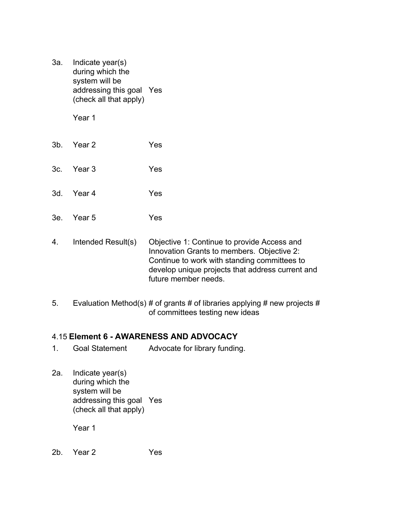3a. Indicate year(s) during which the system will be addressing this goal Yes (check all that apply)

Year 1

- 3b. Year 2 Yes
- 3c. Year 3 Yes
- 3d. Year 4 Yes
- 3e. Year 5 Yes
- 4. Intended Result(s) Objective 1: Continue to provide Access and Innovation Grants to members. Objective 2: Continue to work with standing committees to develop unique projects that address current and future member needs.
- 5. Evaluation Method(s) # of grants # of libraries applying # new projects # of committees testing new ideas

#### 4.15 **Element 6 - AWARENESS AND ADVOCACY**

- 1. Goal Statement Advocate for library funding.
- 2a. Indicate year(s) during which the system will be addressing this goal Yes (check all that apply)

Year 1

2b. Year 2 Yes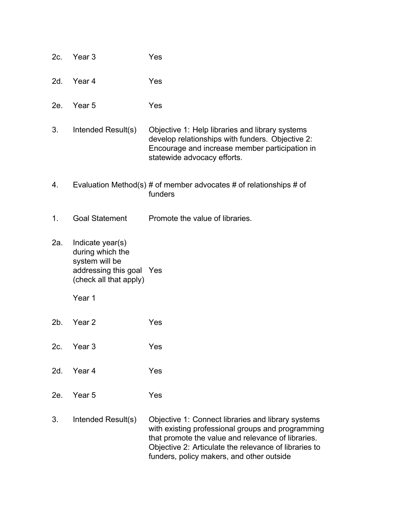| 2c. | Year <sub>3</sub>                                                                                                      | Yes                                                                                                                                                                                                                                                                 |
|-----|------------------------------------------------------------------------------------------------------------------------|---------------------------------------------------------------------------------------------------------------------------------------------------------------------------------------------------------------------------------------------------------------------|
| 2d. | Year 4                                                                                                                 | Yes                                                                                                                                                                                                                                                                 |
| 2e. | Year <sub>5</sub>                                                                                                      | Yes                                                                                                                                                                                                                                                                 |
| 3.  | Intended Result(s)                                                                                                     | Objective 1: Help libraries and library systems<br>develop relationships with funders. Objective 2:<br>Encourage and increase member participation in<br>statewide advocacy efforts.                                                                                |
| 4.  |                                                                                                                        | Evaluation Method(s) # of member advocates # of relationships # of<br>funders                                                                                                                                                                                       |
| 1.  | <b>Goal Statement</b>                                                                                                  | Promote the value of libraries.                                                                                                                                                                                                                                     |
| 2a. | Indicate year(s)<br>during which the<br>system will be<br>addressing this goal Yes<br>(check all that apply)<br>Year 1 |                                                                                                                                                                                                                                                                     |
| 2b. | Year <sub>2</sub>                                                                                                      | Yes                                                                                                                                                                                                                                                                 |
| 2c. | Year <sub>3</sub>                                                                                                      | Yes                                                                                                                                                                                                                                                                 |
| 2d. | Year 4                                                                                                                 | Yes                                                                                                                                                                                                                                                                 |
| 2e. | Year <sub>5</sub>                                                                                                      | Yes                                                                                                                                                                                                                                                                 |
| 3.  | Intended Result(s)                                                                                                     | Objective 1: Connect libraries and library systems<br>with existing professional groups and programming<br>that promote the value and relevance of libraries.<br>Objective 2: Articulate the relevance of libraries to<br>funders, policy makers, and other outside |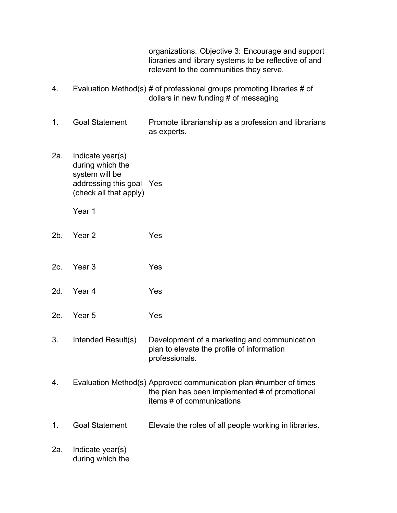|     |                                                                                                              | organizations. Objective 3: Encourage and support<br>libraries and library systems to be reflective of and<br>relevant to the communities they serve. |
|-----|--------------------------------------------------------------------------------------------------------------|-------------------------------------------------------------------------------------------------------------------------------------------------------|
| 4.  |                                                                                                              | Evaluation Method(s) # of professional groups promoting libraries # of<br>dollars in new funding # of messaging                                       |
| 1.  | <b>Goal Statement</b>                                                                                        | Promote librarianship as a profession and librarians<br>as experts.                                                                                   |
| 2a. | Indicate year(s)<br>during which the<br>system will be<br>addressing this goal Yes<br>(check all that apply) |                                                                                                                                                       |
|     | Year 1                                                                                                       |                                                                                                                                                       |
| 2b. | Year <sub>2</sub>                                                                                            | Yes                                                                                                                                                   |
| 2c. | Year 3                                                                                                       | Yes                                                                                                                                                   |
| 2d. | Year 4                                                                                                       | Yes                                                                                                                                                   |
| 2e. | Year 5                                                                                                       | Yes                                                                                                                                                   |
| 3.  | Intended Result(s)                                                                                           | Development of a marketing and communication<br>plan to elevate the profile of information<br>professionals.                                          |
| 4.  |                                                                                                              | Evaluation Method(s) Approved communication plan #number of times<br>the plan has been implemented # of promotional<br>items # of communications      |
| 1.  | <b>Goal Statement</b>                                                                                        | Elevate the roles of all people working in libraries.                                                                                                 |
| 2a. | Indicate year(s)<br>during which the                                                                         |                                                                                                                                                       |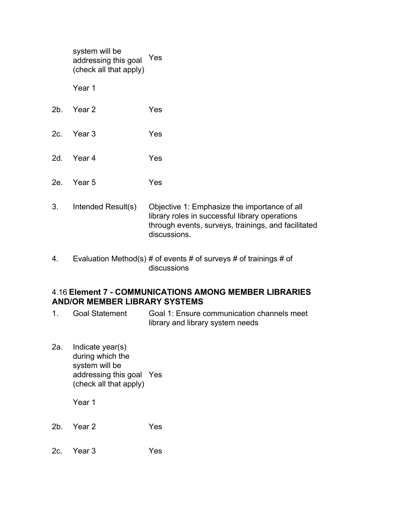|     | system will be<br>addressing this goal<br>(check all that apply) | Yes                                                                                                                                                                   |
|-----|------------------------------------------------------------------|-----------------------------------------------------------------------------------------------------------------------------------------------------------------------|
|     | Year 1                                                           |                                                                                                                                                                       |
| 2b. | Year 2                                                           | Yes                                                                                                                                                                   |
| 2c. | Year 3                                                           | Yes                                                                                                                                                                   |
| 2d. | Year 4                                                           | Yes                                                                                                                                                                   |
| 2e. | Year 5                                                           | Yes                                                                                                                                                                   |
| 3.  | Intended Result(s)                                               | Objective 1: Emphasize the importance of all<br>library roles in successful library operations<br>through events, surveys, trainings, and facilitated<br>discussions. |

4. Evaluation Method(s) # of events # of surveys # of trainings # of discussions

#### 4.16 **Element 7 - COMMUNICATIONS AMONG MEMBER LIBRARIES AND/OR MEMBER LIBRARY SYSTEMS**

- 1. Goal Statement Goal 1: Ensure communication channels meet library and library system needs
- 2a. Indicate year(s) during which the system will be addressing this goal Yes (check all that apply)

- 2b. Year 2 Yes
- 2c. Year 3 Yes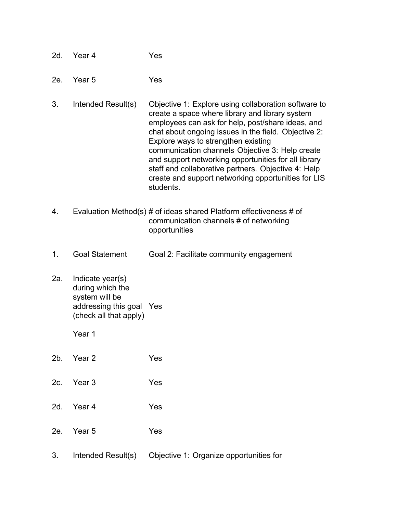| 2d. | Year 4 | Yes |
|-----|--------|-----|
|     |        |     |

- 2e. Year 5 Yes
- 3. Intended Result(s) Objective 1: Explore using collaboration software to create a space where library and library system employees can ask for help, post/share ideas, and chat about ongoing issues in the field. Objective 2: Explore ways to strengthen existing communication channels Objective 3: Help create and support networking opportunities for all library staff and collaborative partners. Objective 4: Help create and support networking opportunities for LIS students.
- 4. Evaluation Method(s) # of ideas shared Platform effectiveness # of communication channels # of networking opportunities
- 1. Goal Statement Goal 2: Facilitate community engagement
- 2a. Indicate year(s) during which the system will be addressing this goal Yes (check all that apply)

- 2b. Year 2 Yes
- 2c. Year 3 Yes
- 2d. Year 4 Yes
- 2e. Year 5 Yes
- 3. Intended Result(s) Objective 1: Organize opportunities for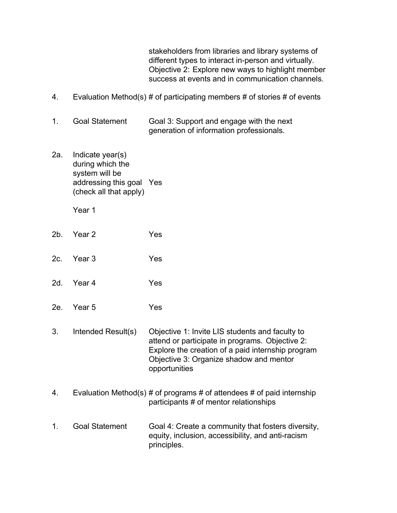stakeholders from libraries and library systems of different types to interact in-person and virtually. Objective 2: Explore new ways to highlight member success at events and in communication channels.

- 4. Evaluation Method(s) # of participating members # of stories # of events
- 1. Goal Statement Goal 3: Support and engage with the next generation of information professionals.
- 2a. Indicate year(s) during which the system will be addressing this goal Yes (check all that apply)

- 2b. Year 2 Yes
- 2c. Year 3 Yes
- 2d. Year 4 Yes
- 2e. Year 5 Yes
- 3. Intended Result(s) Objective 1: Invite LIS students and faculty to attend or participate in programs. Objective 2: Explore the creation of a paid internship program Objective 3: Organize shadow and mentor opportunities
- 4. Evaluation Method(s)  $#$  of programs  $#$  of attendees  $#$  of paid internship participants # of mentor relationships
- 1. Goal Statement Goal 4: Create a community that fosters diversity, equity, inclusion, accessibility, and anti-racism principles.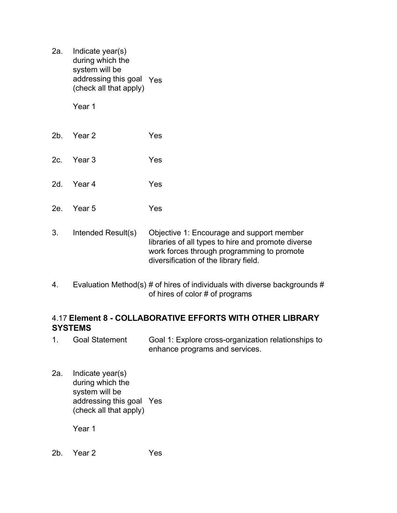2a. Indicate year(s) during which the system will be addressing this goal Yes (check all that apply)

Year 1

- 2b. Year 2 Yes
- 2c. Year 3 Yes
- 2d. Year 4 Yes
- 2e. Year 5 Yes
- 3. Intended Result(s) Objective 1: Encourage and support member libraries of all types to hire and promote diverse work forces through programming to promote diversification of the library field.
- 4. Evaluation Method(s)  $\#$  of hires of individuals with diverse backgrounds  $\#$ of hires of color # of programs

#### 4.17 **Element 8 - COLLABORATIVE EFFORTS WITH OTHER LIBRARY SYSTEMS**

- 1. Goal Statement Goal 1: Explore cross-organization relationships to enhance programs and services.
- 2a. Indicate year(s) during which the system will be addressing this goal Yes (check all that apply)

Year 1

2b. Year 2 Yes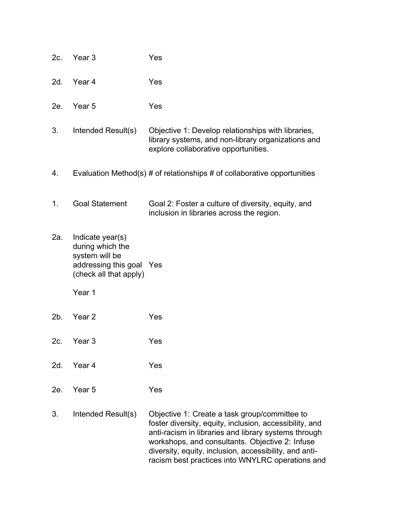| 2c. | Year 3                                                                                                                 | Yes                                                                                                                                                                                                                                                                                                                               |
|-----|------------------------------------------------------------------------------------------------------------------------|-----------------------------------------------------------------------------------------------------------------------------------------------------------------------------------------------------------------------------------------------------------------------------------------------------------------------------------|
| 2d. | Year 4                                                                                                                 | Yes                                                                                                                                                                                                                                                                                                                               |
| 2e. | Year 5                                                                                                                 | Yes                                                                                                                                                                                                                                                                                                                               |
| 3.  | Intended Result(s)                                                                                                     | Objective 1: Develop relationships with libraries,<br>library systems, and non-library organizations and<br>explore collaborative opportunities.                                                                                                                                                                                  |
| 4.  |                                                                                                                        | Evaluation Method(s) # of relationships # of collaborative opportunities                                                                                                                                                                                                                                                          |
| 1.  | <b>Goal Statement</b>                                                                                                  | Goal 2: Foster a culture of diversity, equity, and<br>inclusion in libraries across the region.                                                                                                                                                                                                                                   |
| 2a. | Indicate year(s)<br>during which the<br>system will be<br>addressing this goal Yes<br>(check all that apply)<br>Year 1 |                                                                                                                                                                                                                                                                                                                                   |
| 2b. | Year 2                                                                                                                 | Yes                                                                                                                                                                                                                                                                                                                               |
| 2c. | Year 3                                                                                                                 | Yes                                                                                                                                                                                                                                                                                                                               |
| 2d. | Year 4                                                                                                                 | Yes                                                                                                                                                                                                                                                                                                                               |
| 2e. | Year 5                                                                                                                 | Yes                                                                                                                                                                                                                                                                                                                               |
| 3.  | Intended Result(s)                                                                                                     | Objective 1: Create a task group/committee to<br>foster diversity, equity, inclusion, accessibility, and<br>anti-racism in libraries and library systems through<br>workshops, and consultants. Objective 2: Infuse<br>diversity, equity, inclusion, accessibility, and anti-<br>racism best practices into WNYLRC operations and |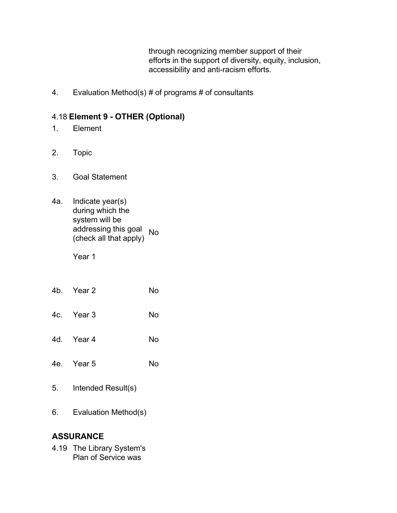through recognizing member support of their efforts in the support of diversity, equity, inclusion, accessibility and anti-racism efforts.

4. Evaluation Method(s) # of programs # of consultants

## 4.18 **Element 9 - OTHER (Optional)**

- 1. Element
- 2. Topic
- 3. Goal Statement
- 4a. Indicate year(s) during which the system will be addressing this goal (check all that apply) No

Year 1

- 4b. Year 2 No
- 4c. Year 3 No
- 4d. Year 4 No
- 4e. Year 5 No
- 5. Intended Result(s)
- 6. Evaluation Method(s)

## **ASSURANCE**

4.19 The Library System's Plan of Service was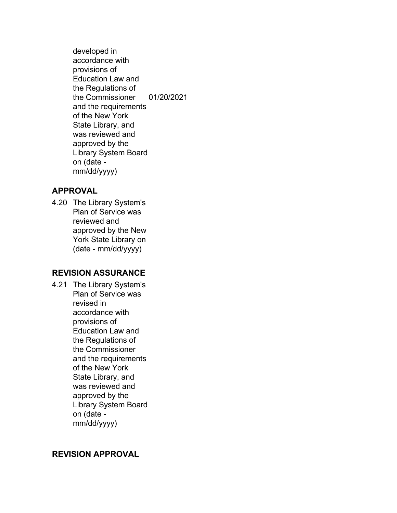developed in accordance with provisions of Education Law and the Regulations of the Commissioner and the requirements of the New York State Library, and was reviewed and approved by the Library System Board on (date mm/dd/yyyy) 01/20/2021

#### **APPROVAL**

4.20 The Library System's Plan of Service was reviewed and approved by the New York State Library on (date - mm/dd/yyyy)

## **REVISION ASSURANCE**

4.21 The Library System's Plan of Service was revised in accordance with provisions of Education Law and the Regulations of the Commissioner and the requirements of the New York State Library, and was reviewed and approved by the Library System Board on (date mm/dd/yyyy)

## **REVISION APPROVAL**